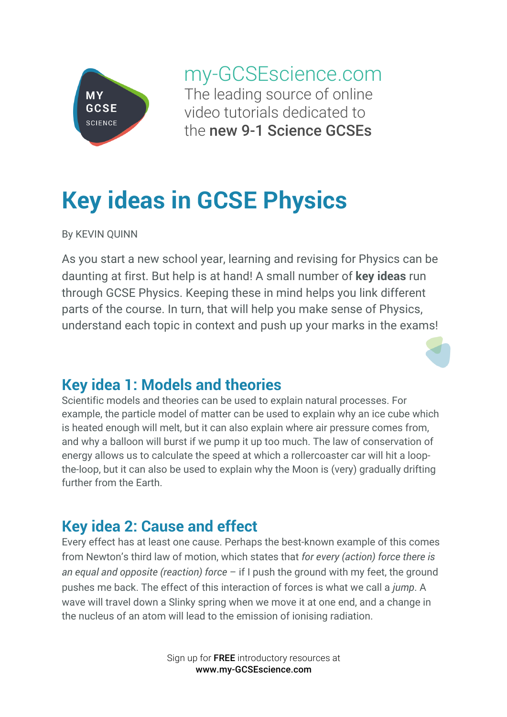

my-GCSEscience.com The leading source of online video tutorials dedicated to the new 9-1 Science GCSEs

# **Key ideas in GCSE Physics**

By KEVIN QUINN

As you start a new school year, learning and revising for Physics can be daunting at first. But help is at hand! A small number of **key ideas** run through GCSE Physics. Keeping these in mind helps you link different parts of the course. In turn, that will help you make sense of Physics, understand each topic in context and push up your marks in the exams!

# **Key idea 1: Models and theories**

Scientific models and theories can be used to explain natural processes. For example, the particle model of matter can be used to explain why an ice cube which is heated enough will melt, but it can also explain where air pressure comes from, and why a balloon will burst if we pump it up too much. The law of conservation of energy allows us to calculate the speed at which a rollercoaster car will hit a loopthe-loop, but it can also be used to explain why the Moon is (very) gradually drifting further from the Earth.

# **Key idea 2: Cause and effect**

Every effect has at least one cause. Perhaps the best-known example of this comes from Newton's third law of motion, which states that *for every (action) force there is an equal and opposite (reaction) force* – if I push the ground with my feet, the ground pushes me back. The effect of this interaction of forces is what we call a *jump*. A wave will travel down a Slinky spring when we move it at one end, and a change in the nucleus of an atom will lead to the emission of ionising radiation.

> Sign up for FREE introductory resources at www.my-GCSEscience.com